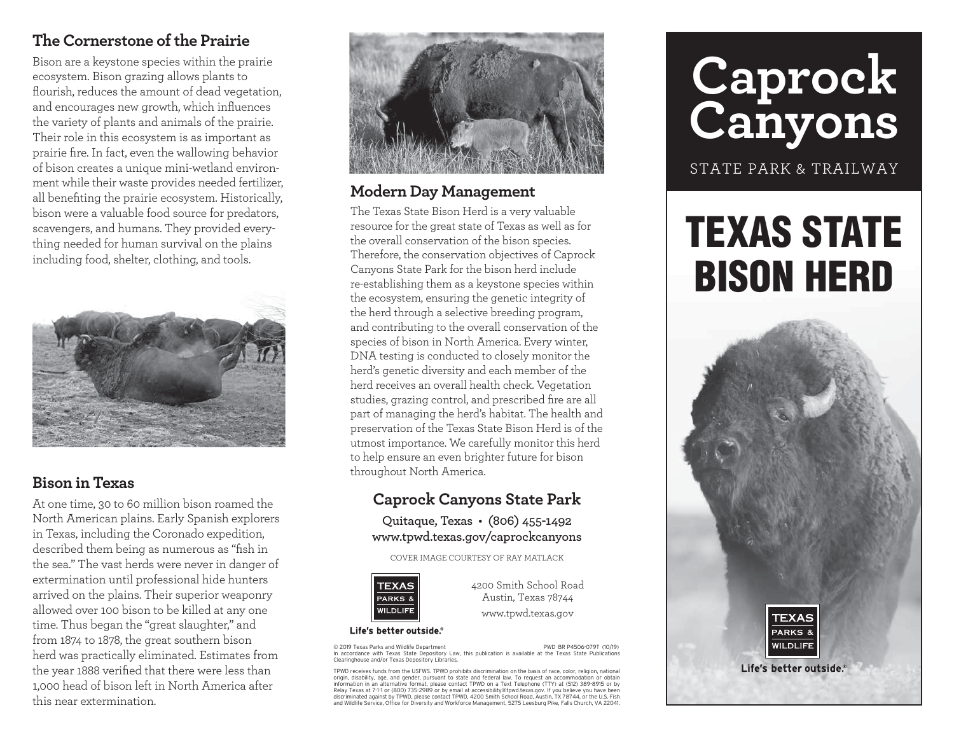### **The Cornerstone of the Prairie**

Bison are a keystone species within the prairie ecosystem. Bison grazing allows plants to flourish, reduces the amount of dead vegetation, and encourages new growth, which influences the variety of plants and animals of the prairie. Their role in this ecosystem is as important as prairie fire. In fact, even the wallowing behavior of bison creates a unique mini-wetland environment while their waste provides needed fertilizer, all benefiting the prairie ecosystem. Historically, bison were a valuable food source for predators, scavengers, and humans. They provided everything needed for human survival on the plains including food, shelter, clothing, and tools.



### **Bison in Texas**

At one time, 30 to 60 million bison roamed the North American plains. Early Spanish explorers in Texas, including the Coronado expedition, described them being as numerous as "fish in the sea." The vast herds were never in danger of extermination until professional hide hunters arrived on the plains. Their superior weaponry allowed over 100 bison to be killed at any one time. Thus began the "great slaughter," and from 1874 to 1878, the great southern bison herd was practically eliminated. Estimates from the year 1888 verified that there were less than 1,000 head of bison left in North America after this near extermination.



### **Modern Day Management**

The Texas State Bison Herd is a very valuable resource for the great state of Texas as well as for the overall conservation of the bison species. Therefore, the conservation objectives of Caprock Canyons State Park for the bison herd include re-establishing them as a keystone species within the ecosystem, ensuring the genetic integrity of the herd through a selective breeding program, and contributing to the overall conservation of the species of bison in North America. Every winter, DNA testing is conducted to closely monitor the herd's genetic diversity and each member of the herd receives an overall health check. Vegetation studies, grazing control, and prescribed fire are all part of managing the herd's habitat. The health and preservation of the Texas State Bison Herd is of the utmost importance. We carefully monitor this herd to help ensure an even brighter future for bison throughout North America.

### **Caprock Canyons State Park**

**Quitaque, Texas • (806) 455-1492 www.tpwd.texas.gov/caprockcanyons**

COVER IMAGE COURTESY OF RAY MATLACK



4200 Smith School Road Austin, Texas 78744 www.tpwd.texas.gov

#### Life's better outside.

© 2019 Texas Parks and Wildlife Department PWD BR P4506-079T (10/19) In accordance with Texas State Depository Law, this publication is available at the Texas State Publications Clearinghouse and/or Texas Depository Libraries.

TPWD receives funds from the USFWS. TPWD prohibits discrimination on the basis of race, color, religion, national<br>origin, disability, age, and gender, pursuant to state and federal Iaw. To request an accommodation or obtai Relay Texas at 7-1-1 or (800) 735-2989 or by email at accessibility@tpwd.texas.gov. If you believe you have been discriminated against by TPWD, please contact TPWD, 4200 Smith School Road, Austin, TX 78744, or the U.S. Fish and Wildlife Service, Office for Diversity and Workforce Management, 5275 Leesburg Pike, Falls Church, VA 22041.

# **Caprock Canyons**

STATE PARK & TRAILWAY

## TEXAS STATE BISON HERD